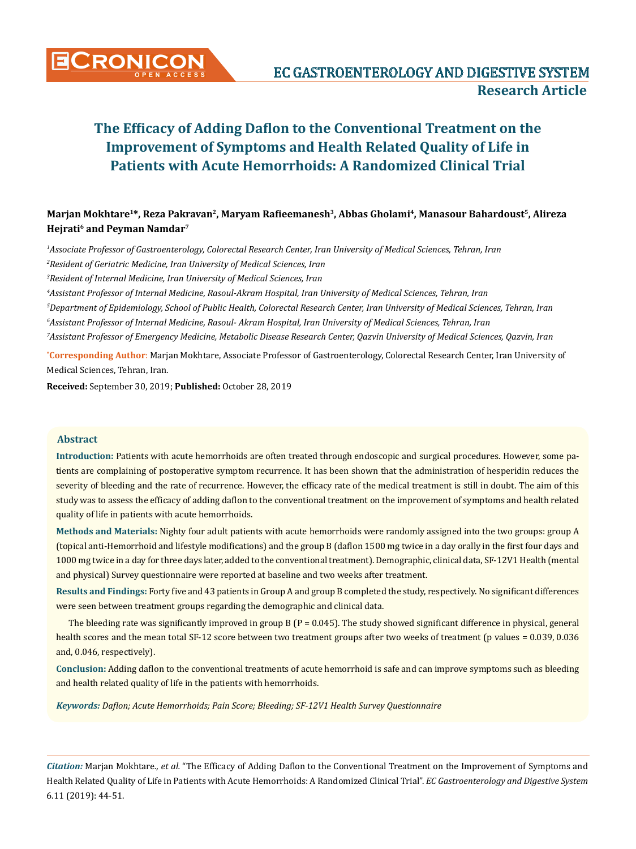

# **Marjan Mokhtare<sup>1</sup>\*, Reza Pakravan<sup>2</sup>, Maryam Rafieemanesh<sup>3</sup>, Abbas Gholami<sup>4</sup>, Manasour Bahardoust<sup>5</sup>, Alireza Hejrati<sup>6</sup> and Peyman Namdar<sup>7</sup>**

*1 Associate Professor of Gastroenterology, Colorectal Research Center, Iran University of Medical Sciences, Tehran, Iran* <sup>2</sup> Resident of Geriatric Medicine, Iran University of Medical Sciences, Iran

*3 Resident of Internal Medicine, Iran University of Medical Sciences, Iran*

*4 Assistant Professor of Internal Medicine, Rasoul-Akram Hospital, Iran University of Medical Sciences, Tehran, Iran*

*5 Department of Epidemiology, School of Public Health, Colorectal Research Center, Iran University of Medical Sciences, Tehran, Iran 6 Assistant Professor of Internal Medicine, Rasoul- Akram Hospital, Iran University of Medical Sciences, Tehran, Iran 7 Assistant Professor of Emergency Medicine, Metabolic Disease Research Center, Qazvin University of Medical Sciences, Qazvin, Iran*

**\* Corresponding Author**: Marjan Mokhtare, Associate Professor of Gastroenterology, Colorectal Research Center, Iran University of Medical Sciences, Tehran, Iran.

**Received:** September 30, 2019; **Published:** October 28, 2019

# **Abstract**

**Introduction:** Patients with acute hemorrhoids are often treated through endoscopic and surgical procedures. However, some patients are complaining of postoperative symptom recurrence. It has been shown that the administration of hesperidin reduces the severity of bleeding and the rate of recurrence. However, the efficacy rate of the medical treatment is still in doubt. The aim of this study was to assess the efficacy of adding daflon to the conventional treatment on the improvement of symptoms and health related quality of life in patients with acute hemorrhoids.

**Methods and Materials:** Nighty four adult patients with acute hemorrhoids were randomly assigned into the two groups: group A (topical anti-Hemorrhoid and lifestyle modifications) and the group B (daflon 1500 mg twice in a day orally in the first four days and 1000 mg twice in a day for three days later, added to the conventional treatment). Demographic, clinical data, SF-12V1 Health (mental and physical) Survey questionnaire were reported at baseline and two weeks after treatment.

**Results and Findings:** Forty five and 43 patients in Group A and group B completed the study, respectively. No significant differences were seen between treatment groups regarding the demographic and clinical data.

The bleeding rate was significantly improved in group B ( $P = 0.045$ ). The study showed significant difference in physical, general health scores and the mean total SF-12 score between two treatment groups after two weeks of treatment (p values = 0.039, 0.036 and, 0.046, respectively).

**Conclusion:** Adding daflon to the conventional treatments of acute hemorrhoid is safe and can improve symptoms such as bleeding and health related quality of life in the patients with hemorrhoids.

*Keywords: Daflon; Acute Hemorrhoids; Pain Score; Bleeding; SF-12V1 Health Survey Questionnaire*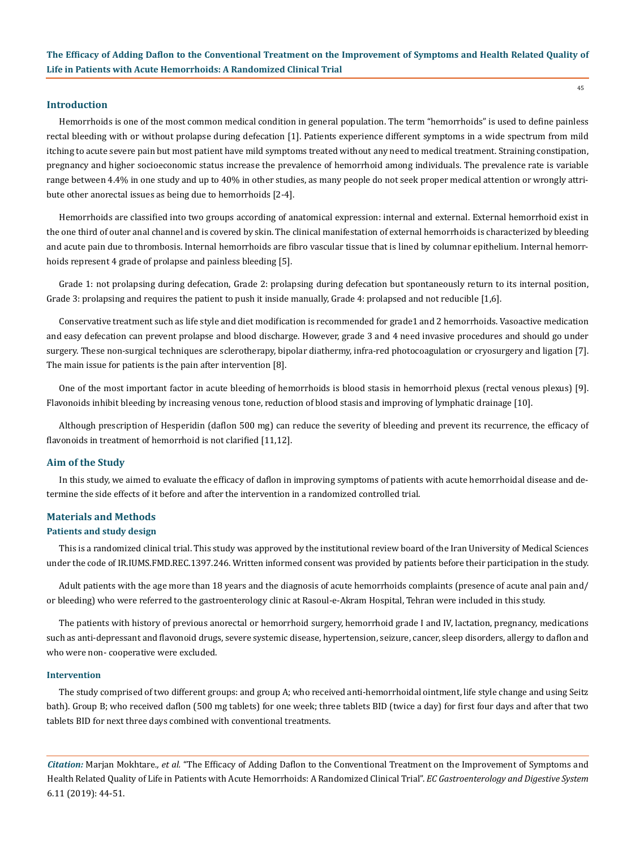### **Introduction**

Hemorrhoids is one of the most common medical condition in general population. The term "hemorrhoids" is used to define painless rectal bleeding with or without prolapse during defecation [1]. Patients experience different symptoms in a wide spectrum from mild itching to acute severe pain but most patient have mild symptoms treated without any need to medical treatment. Straining constipation, pregnancy and higher socioeconomic status increase the prevalence of hemorrhoid among individuals. The prevalence rate is variable range between 4.4% in one study and up to 40% in other studies, as many people do not seek proper medical attention or wrongly attribute other anorectal issues as being due to hemorrhoids [2-4].

Hemorrhoids are classified into two groups according of anatomical expression: internal and external. External hemorrhoid exist in the one third of outer anal channel and is covered by skin. The clinical manifestation of external hemorrhoids is characterized by bleeding and acute pain due to thrombosis. Internal hemorrhoids are fibro vascular tissue that is lined by columnar epithelium. Internal hemorrhoids represent 4 grade of prolapse and painless bleeding [5].

Grade 1: not prolapsing during defecation, Grade 2: prolapsing during defecation but spontaneously return to its internal position, Grade 3: prolapsing and requires the patient to push it inside manually, Grade 4: prolapsed and not reducible [1,6].

Conservative treatment such as life style and diet modification is recommended for grade1 and 2 hemorrhoids. Vasoactive medication and easy defecation can prevent prolapse and blood discharge. However, grade 3 and 4 need invasive procedures and should go under surgery. These non-surgical techniques are sclerotherapy, bipolar diathermy, infra-red photocoagulation or cryosurgery and ligation [7]. The main issue for patients is the pain after intervention [8].

One of the most important factor in acute bleeding of hemorrhoids is blood stasis in hemorrhoid plexus (rectal venous plexus) [9]. Flavonoids inhibit bleeding by increasing venous tone, reduction of blood stasis and improving of lymphatic drainage [10].

Although prescription of Hesperidin (daflon 500 mg) can reduce the severity of bleeding and prevent its recurrence, the efficacy of flavonoids in treatment of hemorrhoid is not clarified [11,12].

#### **Aim of the Study**

In this study, we aimed to evaluate the efficacy of daflon in improving symptoms of patients with acute hemorrhoidal disease and determine the side effects of it before and after the intervention in a randomized controlled trial.

# **Materials and Methods**

#### **Patients and study design**

This is a randomized clinical trial. This study was approved by the institutional review board of the Iran University of Medical Sciences under the code of IR.IUMS.FMD.REC.1397.246. Written informed consent was provided by patients before their participation in the study.

Adult patients with the age more than 18 years and the diagnosis of acute hemorrhoids complaints (presence of acute anal pain and/ or bleeding) who were referred to the gastroenterology clinic at Rasoul-e-Akram Hospital, Tehran were included in this study.

The patients with history of previous anorectal or hemorrhoid surgery, hemorrhoid grade I and IV, lactation, pregnancy, medications such as anti-depressant and flavonoid drugs, severe systemic disease, hypertension, seizure, cancer, sleep disorders, allergy to daflon and who were non- cooperative were excluded.

#### **Intervention**

The study comprised of two different groups: and group A; who received anti-hemorrhoidal ointment, life style change and using Seitz bath). Group B; who received daflon (500 mg tablets) for one week; three tablets BID (twice a day) for first four days and after that two tablets BID for next three days combined with conventional treatments.

*Citation:* Marjan Mokhtare*., et al.* "The Efficacy of Adding Daflon to the Conventional Treatment on the Improvement of Symptoms and Health Related Quality of Life in Patients with Acute Hemorrhoids: A Randomized Clinical Trial". *EC Gastroenterology and Digestive System*  6.11 (2019): 44-51.

45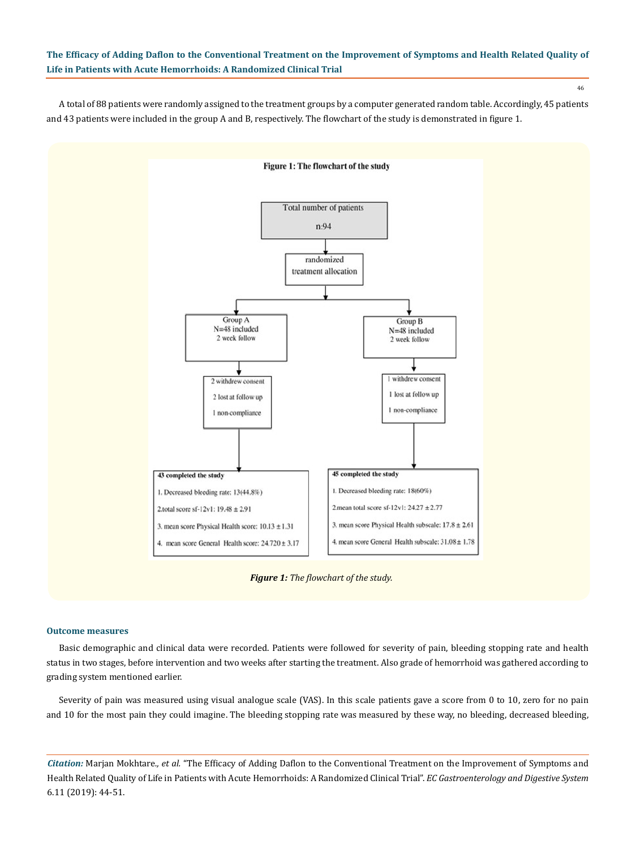46

A total of 88 patients were randomly assigned to the treatment groups by a computer generated random table. Accordingly, 45 patients and 43 patients were included in the group A and B, respectively. The flowchart of the study is demonstrated in figure 1.



*Figure 1: The flowchart of the study.*

#### **Outcome measures**

Basic demographic and clinical data were recorded. Patients were followed for severity of pain, bleeding stopping rate and health status in two stages, before intervention and two weeks after starting the treatment. Also grade of hemorrhoid was gathered according to grading system mentioned earlier.

Severity of pain was measured using visual analogue scale (VAS). In this scale patients gave a score from 0 to 10, zero for no pain and 10 for the most pain they could imagine. The bleeding stopping rate was measured by these way, no bleeding, decreased bleeding,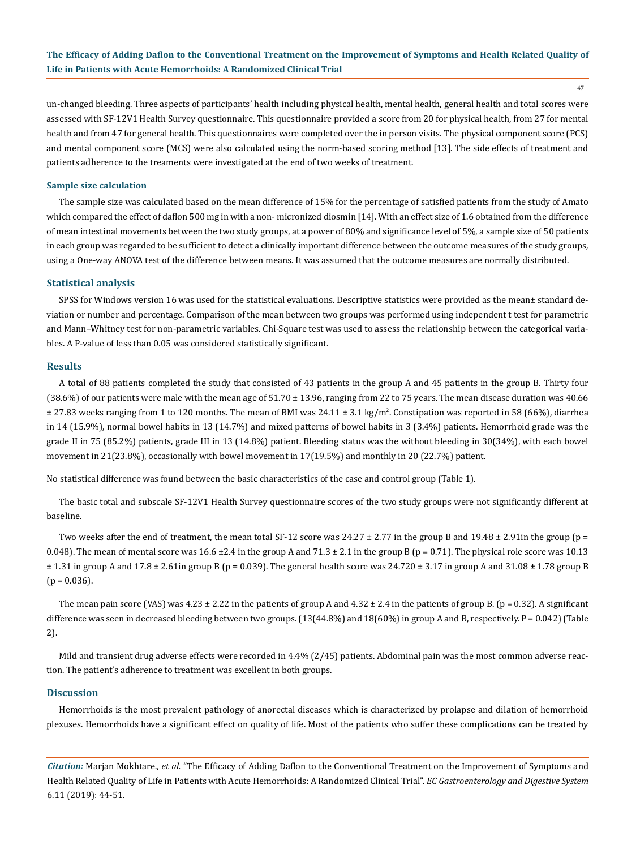47

un-changed bleeding. Three aspects of participants' health including physical health, mental health, general health and total scores were assessed with SF-12V1 Health Survey questionnaire. This questionnaire provided a score from 20 for physical health, from 27 for mental health and from 47 for general health. This questionnaires were completed over the in person visits. The physical component score (PCS) and mental component score (MCS) were also calculated using the norm-based scoring method [13]. The side effects of treatment and patients adherence to the treaments were investigated at the end of two weeks of treatment.

#### **Sample size calculation**

The sample size was calculated based on the mean difference of 15% for the percentage of satisfied patients from the study of Amato which compared the effect of daflon 500 mg in with a non- micronized diosmin [14]. With an effect size of 1.6 obtained from the difference of mean intestinal movements between the two study groups, at a power of 80% and significance level of 5%, a sample size of 50 patients in each group was regarded to be sufficient to detect a clinically important difference between the outcome measures of the study groups, using a One-way ANOVA test of the difference between means. It was assumed that the outcome measures are normally distributed.

#### **Statistical analysis**

SPSS for Windows version 16 was used for the statistical evaluations. Descriptive statistics were provided as the mean± standard deviation or number and percentage. Comparison of the mean between two groups was performed using independent t test for parametric and Mann–Whitney test for non-parametric variables. Chi-Square test was used to assess the relationship between the categorical variables. A P-value of less than 0.05 was considered statistically significant.

#### **Results**

A total of 88 patients completed the study that consisted of 43 patients in the group A and 45 patients in the group B. Thirty four  $(38.6%)$  of our patients were male with the mean age of  $51.70 \pm 13.96$ , ranging from 22 to 75 years. The mean disease duration was 40.66 ± 27.83 weeks ranging from 1 to 120 months. The mean of BMI was 24.11 ± 3.1 kg/m<sup>2</sup> . Constipation was reported in 58 (66%), diarrhea in 14 (15.9%), normal bowel habits in 13 (14.7%) and mixed patterns of bowel habits in 3 (3.4%) patients. Hemorrhoid grade was the grade II in 75 (85.2%) patients, grade III in 13 (14.8%) patient. Bleeding status was the without bleeding in 30(34%), with each bowel movement in 21(23.8%), occasionally with bowel movement in 17(19.5%) and monthly in 20 (22.7%) patient.

No statistical difference was found between the basic characteristics of the case and control group (Table 1).

The basic total and subscale SF-12V1 Health Survey questionnaire scores of the two study groups were not significantly different at baseline.

Two weeks after the end of treatment, the mean total SF-12 score was  $24.27 \pm 2.77$  in the group B and  $19.48 \pm 2.91$ in the group (p = 0.048). The mean of mental score was 16.6  $\pm$ 2.4 in the group A and 71.3  $\pm$  2.1 in the group B (p = 0.71). The physical role score was 10.13  $\pm$  1.31 in group A and 17.8  $\pm$  2.61in group B (p = 0.039). The general health score was 24.720  $\pm$  3.17 in group A and 31.08  $\pm$  1.78 group B  $(p = 0.036)$ .

The mean pain score (VAS) was  $4.23 \pm 2.22$  in the patients of group A and  $4.32 \pm 2.4$  in the patients of group B. (p = 0.32). A significant difference was seen in decreased bleeding between two groups. (13(44.8%) and 18(60%) in group A and B, respectively. P = 0.042) (Table 2).

Mild and transient drug adverse effects were recorded in 4.4% (2/45) patients. Abdominal pain was the most common adverse reaction. The patient's adherence to treatment was excellent in both groups.

#### **Discussion**

Hemorrhoids is the most prevalent pathology of anorectal diseases which is characterized by prolapse and dilation of hemorrhoid plexuses. Hemorrhoids have a significant effect on quality of life. Most of the patients who suffer these complications can be treated by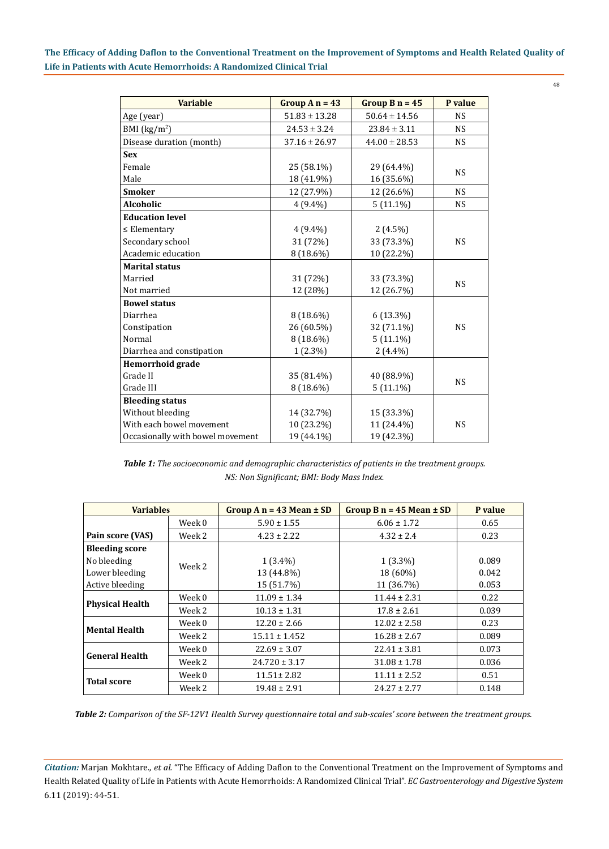48

| <b>Variable</b>                  | Group $A_n = 43$  | Group $B_n = 45$  | P value   |  |
|----------------------------------|-------------------|-------------------|-----------|--|
| Age (year)                       | $51.83 \pm 13.28$ | $50.64 \pm 14.56$ | <b>NS</b> |  |
| BMI $(kg/m2)$                    | $24.53 \pm 3.24$  | $23.84 \pm 3.11$  | <b>NS</b> |  |
| Disease duration (month)         | $37.16 \pm 26.97$ | $44.00 \pm 28.53$ | <b>NS</b> |  |
| <b>Sex</b>                       |                   |                   |           |  |
| Female                           | 25 (58.1%)        | 29 (64.4%)        | <b>NS</b> |  |
| Male                             | 18 (41.9%)        | 16 (35.6%)        |           |  |
| <b>Smoker</b>                    | 12 (27.9%)        | 12 (26.6%)        | <b>NS</b> |  |
| <b>Alcoholic</b>                 | $4(9.4\%)$        | $5(11.1\%)$       | <b>NS</b> |  |
| <b>Education level</b>           |                   |                   |           |  |
| $\leq$ Elementary                | $4(9.4\%)$        | $2(4.5\%)$        |           |  |
| Secondary school                 | 31 (72%)          | 33 (73.3%)        | <b>NS</b> |  |
| Academic education               | 8 (18.6%)         | 10 (22.2%)        |           |  |
| <b>Marital status</b>            |                   |                   |           |  |
| Married                          | 31 (72%)          | 33 (73.3%)        | <b>NS</b> |  |
| Not married                      | 12 (28%)          | 12 (26.7%)        |           |  |
| <b>Bowel status</b>              |                   |                   |           |  |
| Diarrhea                         | $8(18.6\%)$       | $6(13.3\%)$       |           |  |
| Constipation                     | 26 (60.5%)        | 32 (71.1%)        | <b>NS</b> |  |
| Normal                           | $8(18.6\%)$       | $5(11.1\%)$       |           |  |
| Diarrhea and constipation        | $1(2.3\%)$        | $2(4.4\%)$        |           |  |
| Hemorrhoid grade                 |                   |                   |           |  |
| Grade II                         | 35 (81.4%)        | 40 (88.9%)        | <b>NS</b> |  |
| Grade III                        | 8 (18.6%)         | $5(11.1\%)$       |           |  |
| <b>Bleeding status</b>           |                   |                   |           |  |
| Without bleeding                 | 14 (32.7%)        | 15 (33.3%)        |           |  |
| With each bowel movement         | 10 (23.2%)        | 11 (24.4%)        | <b>NS</b> |  |
| Occasionally with bowel movement | 19 (44.1%)        | 19 (42.3%)        |           |  |

*Table 1: The socioeconomic and demographic characteristics of patients in the treatment groups. NS: Non Significant; BMI: Body Mass Index.*

| <b>Variables</b>       |        | Group $A$ n = 43 Mean $\pm$ SD | Group B $n = 45$ Mean $\pm$ SD | P value |
|------------------------|--------|--------------------------------|--------------------------------|---------|
|                        | Week 0 | $5.90 \pm 1.55$                | $6.06 \pm 1.72$                | 0.65    |
| Pain score (VAS)       | Week 2 | $4.23 \pm 2.22$                | $4.32 \pm 2.4$                 | 0.23    |
| <b>Bleeding score</b>  |        |                                |                                |         |
| No bleeding            | Week 2 | $1(3.4\%)$                     | $1(3.3\%)$                     | 0.089   |
| Lower bleeding         |        | 13 (44.8%)                     | 18 (60%)                       | 0.042   |
| Active bleeding        |        | 15 (51.7%)                     | 11 (36.7%)                     | 0.053   |
| <b>Physical Health</b> | Week 0 | $11.09 \pm 1.34$               | $11.44 \pm 2.31$               | 0.22    |
|                        | Week 2 | $10.13 \pm 1.31$               | $17.8 \pm 2.61$                | 0.039   |
| <b>Mental Health</b>   | Week 0 | $12.20 \pm 2.66$               | $12.02 \pm 2.58$               | 0.23    |
|                        | Week 2 | $15.11 \pm 1.452$              | $16.28 \pm 2.67$               | 0.089   |
| <b>General Health</b>  | Week 0 | $22.69 \pm 3.07$               | $22.41 \pm 3.81$               | 0.073   |
|                        | Week 2 | $24.720 \pm 3.17$              | $31.08 \pm 1.78$               | 0.036   |
| <b>Total score</b>     | Week 0 | $11.51 \pm 2.82$               | $11.11 \pm 2.52$               | 0.51    |
|                        | Week 2 | $19.48 \pm 2.91$               | $24.27 \pm 2.77$               | 0.148   |

*Table 2: Comparison of the SF-12V1 Health Survey questionnaire total and sub-scales' score between the treatment groups.*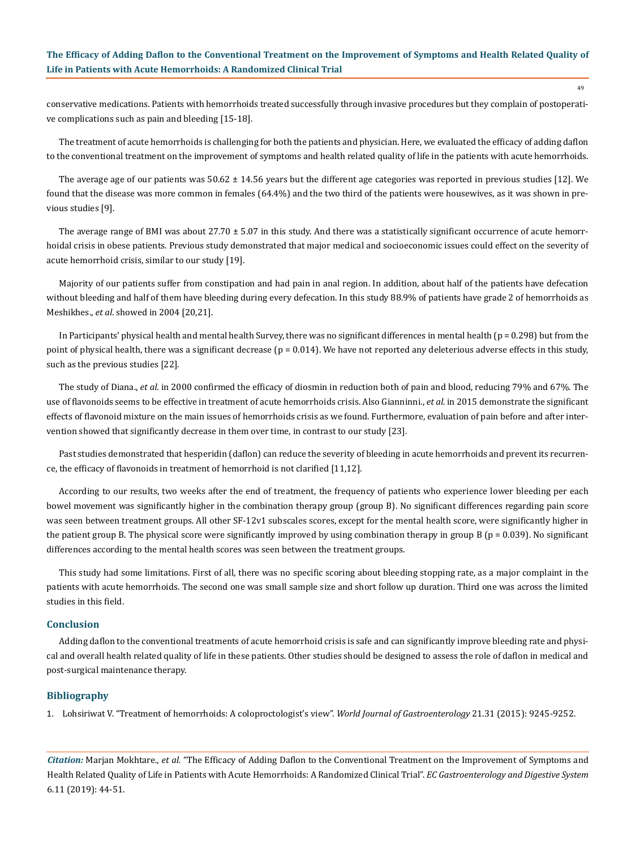conservative medications. Patients with hemorrhoids treated successfully through invasive procedures but they complain of postoperative complications such as pain and bleeding [15-18].

The treatment of acute hemorrhoids is challenging for both the patients and physician. Here, we evaluated the efficacy of adding daflon to the conventional treatment on the improvement of symptoms and health related quality of life in the patients with acute hemorrhoids.

The average age of our patients was 50.62 ± 14.56 years but the different age categories was reported in previous studies [12]. We found that the disease was more common in females (64.4%) and the two third of the patients were housewives, as it was shown in previous studies [9].

The average range of BMI was about  $27.70 \pm 5.07$  in this study. And there was a statistically significant occurrence of acute hemorrhoidal crisis in obese patients. Previous study demonstrated that major medical and socioeconomic issues could effect on the severity of acute hemorrhoid crisis, similar to our study [19].

Majority of our patients suffer from constipation and had pain in anal region. In addition, about half of the patients have defecation without bleeding and half of them have bleeding during every defecation. In this study 88.9% of patients have grade 2 of hemorrhoids as Meshikhes., *et al*. showed in 2004 [20,21].

In Participants' physical health and mental health Survey, there was no significant differences in mental health ( $p = 0.298$ ) but from the point of physical health, there was a significant decrease ( $p = 0.014$ ). We have not reported any deleterious adverse effects in this study, such as the previous studies [22].

The study of Diana., *et al*. in 2000 confirmed the efficacy of diosmin in reduction both of pain and blood, reducing 79% and 67%. The use of flavonoids seems to be effective in treatment of acute hemorrhoids crisis. Also Gianninni., *et al.* in 2015 demonstrate the significant effects of flavonoid mixture on the main issues of hemorrhoids crisis as we found. Furthermore, evaluation of pain before and after intervention showed that significantly decrease in them over time, in contrast to our study [23].

Past studies demonstrated that hesperidin (daflon) can reduce the severity of bleeding in acute hemorrhoids and prevent its recurrence, the efficacy of flavonoids in treatment of hemorrhoid is not clarified [11,12].

According to our results, two weeks after the end of treatment, the frequency of patients who experience lower bleeding per each bowel movement was significantly higher in the combination therapy group (group B). No significant differences regarding pain score was seen between treatment groups. All other SF-12v1 subscales scores, except for the mental health score, were significantly higher in the patient group B. The physical score were significantly improved by using combination therapy in group B ( $p = 0.039$ ). No significant differences according to the mental health scores was seen between the treatment groups.

This study had some limitations. First of all, there was no specific scoring about bleeding stopping rate, as a major complaint in the patients with acute hemorrhoids. The second one was small sample size and short follow up duration. Third one was across the limited studies in this field.

# **Conclusion**

Adding daflon to the conventional treatments of acute hemorrhoid crisis is safe and can significantly improve bleeding rate and physical and overall health related quality of life in these patients. Other studies should be designed to assess the role of daflon in medical and post-surgical maintenance therapy.

#### **Bibliography**

1. [Lohsiriwat V. "Treatment of hemorrhoids: A coloproctologist's view".](https://www.ncbi.nlm.nih.gov/pubmed/26309351) *World Journal of Gastroenterology* 21.31 (2015): 9245-9252.

*Citation:* Marjan Mokhtare*., et al.* "The Efficacy of Adding Daflon to the Conventional Treatment on the Improvement of Symptoms and Health Related Quality of Life in Patients with Acute Hemorrhoids: A Randomized Clinical Trial". *EC Gastroenterology and Digestive System*  6.11 (2019): 44-51.

49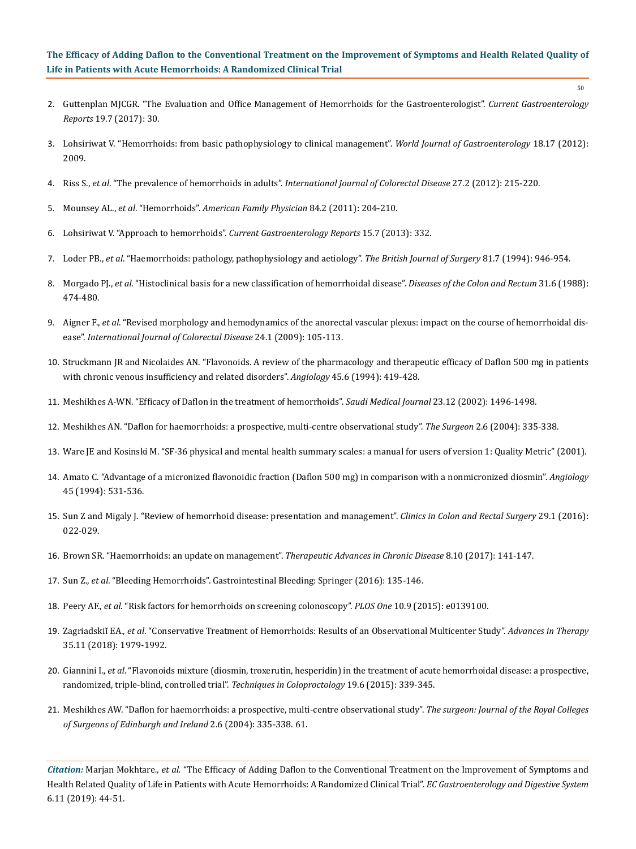50

- 2. [Guttenplan MJCGR. "The Evaluation and Office Management of Hemorrhoids for the Gastroenterologist".](https://www.ncbi.nlm.nih.gov/pubmed/28567655) *Current Gastroenterology Reports* [19.7 \(2017\): 30.](https://www.ncbi.nlm.nih.gov/pubmed/28567655)
- 3. [Lohsiriwat V. "Hemorrhoids: from basic pathophysiology to clinical management".](https://www.ncbi.nlm.nih.gov/pubmed/22563187) *World Journal of Gastroenterology* 18.17 (2012): [2009.](https://www.ncbi.nlm.nih.gov/pubmed/22563187)
- 4. Riss S., *et al*. "The prevalence of hemorrhoids in adults". *[International Journal of Colorectal Disease](https://www.ncbi.nlm.nih.gov/pubmed/21932016)* 27.2 (2012): 215-220.
- 5. Mounsey AL., *et al*. "Hemorrhoids". *[American Family Physician](https://www.aafp.org/afp/2011/0715/p204.html)* 84.2 (2011): 204-210.
- 6. [Lohsiriwat V. "Approach to hemorrhoids".](https://www.ncbi.nlm.nih.gov/pubmed/23715885) *Current Gastroenterology Reports* 15.7 (2013): 332.
- 7. Loder PB., *et al*[. "Haemorrhoids: pathology, pathophysiology and aetiology".](https://www.ncbi.nlm.nih.gov/pubmed/7922085) *The British Journal of Surgery* 81.7 (1994): 946-954.
- 8. Morgado PJ., *et al*[. "Histoclinical basis for a new classification of hemorrhoidal disease".](https://www.ncbi.nlm.nih.gov/pubmed/3378471) *Diseases of the Colon and Rectum* 31.6 (1988): [474-480.](https://www.ncbi.nlm.nih.gov/pubmed/3378471)
- 9. Aigner F., *et al*[. "Revised morphology and hemodynamics of the anorectal vascular plexus: impact on the course of hemorrhoidal dis](https://www.ncbi.nlm.nih.gov/pubmed/18766355)ease". *[International Journal of Colorectal Disease](https://www.ncbi.nlm.nih.gov/pubmed/18766355)* 24.1 (2009): 105-113.
- 10. [Struckmann JR and Nicolaides AN. "Flavonoids. A review of the pharmacology and therapeutic efficacy of Daflon 500 mg in patients](https://www.ncbi.nlm.nih.gov/pubmed/8203767)  [with chronic venous insufficiency and related disorders".](https://www.ncbi.nlm.nih.gov/pubmed/8203767) *Angiology* 45.6 (1994): 419-428.
- 11. [Meshikhes A-WN. "Efficacy of Daflon in the treatment of hemorrhoids".](https://www.ncbi.nlm.nih.gov/pubmed/12518200) *Saudi Medical Journal* 23.12 (2002): 1496-1498.
- 12. [Meshikhes AN. "Daflon for haemorrhoids: a prospective, multi-centre observational study".](https://www.ncbi.nlm.nih.gov/pubmed/15712573) *The Surgeon* 2.6 (2004): 335-338.
- 13. Ware JE and Kosinski M. "SF-36 physical and mental health summary scales: a manual for users of version 1: Quality Metric" (2001).
- 14. [Amato C. "Advantage of a micronized flavonoidic fraction \(Daflon 500 mg\) in comparison with a nonmicronized diosmin".](https://www.ncbi.nlm.nih.gov/pubmed/8203783) *Angiology* [45 \(1994\): 531-536.](https://www.ncbi.nlm.nih.gov/pubmed/8203783)
- 15. [Sun Z and Migaly J. "Review of hemorrhoid disease: presentation and management".](https://www.ncbi.nlm.nih.gov/pmc/articles/PMC4755769/) *Clinics in Colon and Rectal Surgery* 29.1 (2016): [022-029.](https://www.ncbi.nlm.nih.gov/pmc/articles/PMC4755769/)
- 16. [Brown SR. "Haemorrhoids: an update on management".](https://www.ncbi.nlm.nih.gov/pmc/articles/PMC5624348/) *Therapeutic Advances in Chronic Disease* 8.10 (2017): 141-147.
- 17. Sun Z., *et al*. "Bleeding Hemorrhoids". Gastrointestinal Bleeding: Springer (2016): 135-146.
- 18. Peery AF., *et al*[. "Risk factors for hemorrhoids on screening colonoscopy".](https://www.ncbi.nlm.nih.gov/pubmed/26406337) *PLOS One* 10.9 (2015): e0139100.
- 19. Zagriadskiĭ EA., *et al*[. "Conservative Treatment of Hemorrhoids: Results of an Observational Multicenter Study".](https://www.ncbi.nlm.nih.gov/pubmed/30276625) *Advances in Therapy* [35.11 \(2018\): 1979-1992.](https://www.ncbi.nlm.nih.gov/pubmed/30276625)
- 20. Giannini I., *et al*[. "Flavonoids mixture \(diosmin, troxerutin, hesperidin\) in the treatment of acute hemorrhoidal disease: a prospective,](https://www.ncbi.nlm.nih.gov/pubmed/25893991)  [randomized, triple-blind, controlled trial".](https://www.ncbi.nlm.nih.gov/pubmed/25893991) *Techniques in Coloproctology* 19.6 (2015): 339-345.
- 21. [Meshikhes AW. "Daflon for haemorrhoids: a prospective, multi-centre observational study".](https://www.researchgate.net/publication/8019764_Daflon_for_haemorrhoids_A_prospective_multi-centre_observational_study) *The surgeon: Journal of the Royal Colleges [of Surgeons of Edinburgh and Ireland](https://www.researchgate.net/publication/8019764_Daflon_for_haemorrhoids_A_prospective_multi-centre_observational_study)* 2.6 (2004): 335-338. 61.